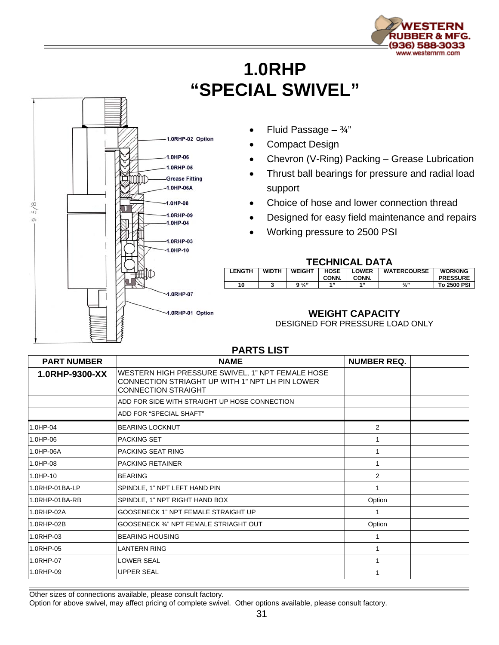

## **1.0RHP "SPECIAL SWIVEL"**



- Fluid Passage  $\frac{3}{4}$ "
- Compact Design
- Chevron (V-Ring) Packing Grease Lubrication
- Thrust ball bearings for pressure and radial load support
- Choice of hose and lower connection thread
- Designed for easy field maintenance and repairs
- Working pressure to 2500 PSI

## **TECHNICAL DATA**

| .             |              |                |             |              |                    |                 |  |
|---------------|--------------|----------------|-------------|--------------|--------------------|-----------------|--|
| <b>LENGTH</b> | <b>WIDTH</b> | <b>WEIGHT</b>  | <b>HOSE</b> | <b>LOWER</b> | <b>WATERCOURSE</b> | <b>WORKING</b>  |  |
|               |              |                | CONN.       | CONN.        |                    | <b>PRESSURE</b> |  |
| 10            |              | $9\frac{1}{4}$ | 4.33        | 4, 33        | $\frac{3}{4}$ "    | To 2500 PSI     |  |
|               |              |                |             |              |                    |                 |  |

## **WEIGHT CAPACITY**

DESIGNED FOR PRESSURE LOAD ONLY

| <b>PART NUMBER</b> | <b>NAME</b>                                                                                                                       | <b>NUMBER REQ.</b> |
|--------------------|-----------------------------------------------------------------------------------------------------------------------------------|--------------------|
| 1.0RHP-9300-XX     | WESTERN HIGH PRESSURE SWIVEL, 1" NPT FEMALE HOSE<br>CONNECTION STRIAGHT UP WITH 1" NPT LH PIN LOWER<br><b>CONNECTION STRAIGHT</b> |                    |
|                    | ADD FOR SIDE WITH STRAIGHT UP HOSE CONNECTION                                                                                     |                    |
|                    | ADD FOR "SPECIAL SHAFT"                                                                                                           |                    |
| 1.0HP-04           | <b>BEARING LOCKNUT</b>                                                                                                            | $\overline{2}$     |
| 1.0HP-06           | <b>PACKING SET</b>                                                                                                                |                    |
| 1.0HP-06A          | <b>PACKING SEAT RING</b>                                                                                                          | 1                  |
| 1.0HP-08           | <b>PACKING RETAINER</b>                                                                                                           | 1                  |
| $1.0HP - 10$       | BEARING                                                                                                                           | 2                  |
| 1.0RHP-01BA-LP     | SPINDLE, 1" NPT LEFT HAND PIN                                                                                                     |                    |
| 1.0RHP-01BA-RB     | SPINDLE, 1" NPT RIGHT HAND BOX                                                                                                    | Option             |
| 1.0RHP-02A         | GOOSENECK 1" NPT FEMALE STRAIGHT UP                                                                                               | 1                  |
| 1.0RHP-02B         | GOOSENECK 34" NPT FEMALE STRIAGHT OUT                                                                                             | Option             |
| 1.0RHP-03          | <b>BEARING HOUSING</b>                                                                                                            | 1                  |
| 1.0RHP-05          | <b>LANTERN RING</b>                                                                                                               |                    |
| 1.0RHP-07          | <b>LOWER SEAL</b>                                                                                                                 | 1                  |
| 1.0RHP-09          | <b>UPPER SEAL</b>                                                                                                                 |                    |

**PARTS LIST** 

Other sizes of connections available, please consult factory.

Option for above swivel, may affect pricing of complete swivel. Other options available, please consult factory.